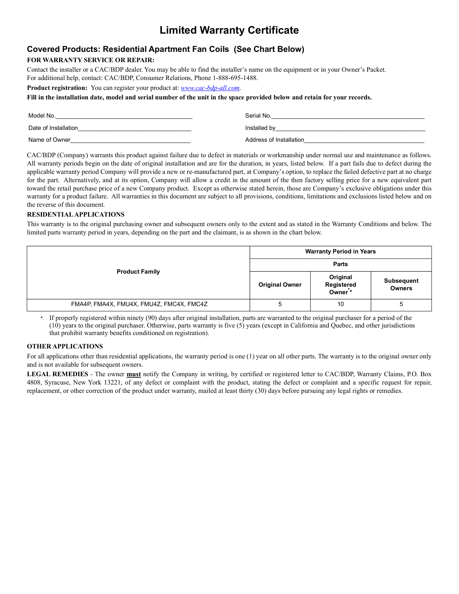# **Limited Warranty Certificate**

## **Covered Products: Residential Apartment Fan Coils (See Chart Below)**

### **FOR WARRANTY SERVICE OR REPAIR:**

Contact the installer or a CAC/BDP dealer. You may be able to find the installer's name on the equipment or in your Owner's Packet. For additional help, contact: CAC/BDP, Consumer Relations, Phone 1-888-695-1488.

**Product registration:** You can register your product at: *www.cac-bdp-all.com*.

#### **Fill in the installation date, model and serial number of the unit in the space provided below and retain for your records.**

| Model No.            | Serial No.              |
|----------------------|-------------------------|
| Date of Installation | Installed by            |
| Name of Owner        | Address of Installation |

CAC/BDP (Company) warrants this product against failure due to defect in materials or workmanship under normal use and maintenance as follows. All warranty periods begin on the date of original installation and are for the duration, in years, listed below. If a part fails due to defect during the applicable warranty period Company will provide a new or re-manufactured part, at Company's option, to replace the failed defective part at no charge for the part. Alternatively, and at its option, Company will allow a credit in the amount of the then factory selling price for a new equivalent part toward the retail purchase price of a new Company product. Except as otherwise stated herein, those are Company's exclusive obligations under this warranty for a product failure. All warranties in this document are subject to all provisions, conditions, limitations and exclusions listed below and on the reverse of this document.

#### **RESIDENTIAL APPLICATIONS**

This warranty is to the original purchasing owner and subsequent owners only to the extent and as stated in the Warranty Conditions and below. The limited parts warranty period in years, depending on the part and the claimant, is as shown in the chart below.

| <b>Product Family</b>                    | <b>Warranty Period in Years</b> |                                  |                                    |
|------------------------------------------|---------------------------------|----------------------------------|------------------------------------|
|                                          | <b>Parts</b>                    |                                  |                                    |
|                                          | <b>Original Owner</b>           | Original<br>Registered<br>Owner* | <b>Subsequent</b><br><b>Owners</b> |
| FMA4P, FMA4X, FMU4X, FMU4Z, FMC4X, FMC4Z |                                 | 10                               |                                    |

\*. If properly registered within ninety (90) days after original installation, parts are warranted to the original purchaser for a period of the (10) years to the original purchaser. Otherwise, parts warranty is five (5) years (except in California and Quebec, and other jurisdictions that prohibit warranty benefits conditioned on registration).

### **OTHER APPLICATIONS**

For all applications other than residential applications, the warranty period is one (1) year on all other parts. The warranty is to the original owner only and is not available for subsequent owners.

**LEGAL REMEDIES** - The owner **must** notify the Company in writing, by certified or registered letter to CAC/BDP, Warranty Claims, P.O. Box 4808, Syracuse, New York 13221, of any defect or complaint with the product, stating the defect or complaint and a specific request for repair, replacement, or other correction of the product under warranty, mailed at least thirty (30) days before pursuing any legal rights or remedies.